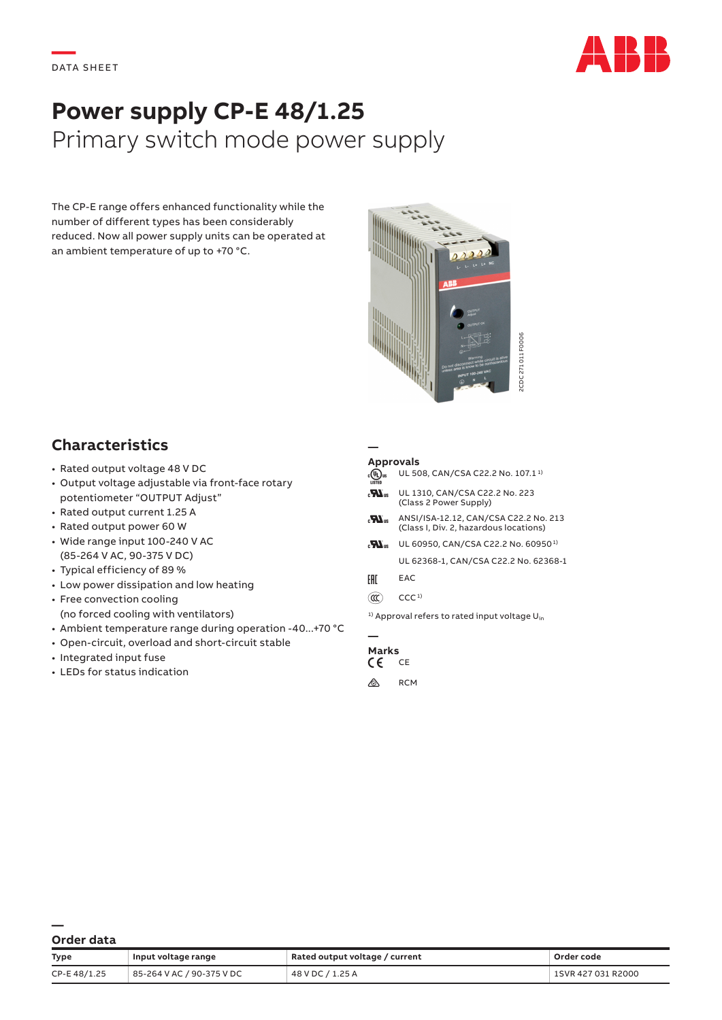

# **Power supply CP-E 48/1.25** Primary switch mode power supply

The CP-E range offers enhanced functionality while the number of different types has been considerably reduced. Now all power supply units can be operated at an ambient temperature of up to +70 °C.



## **Characteristics**

- Rated output voltage 48 V DC
- Output voltage adjustable via front-face rotary potentiometer "OUTPUT Adjust"
- Rated output current 1.25 A
- Rated output power 60 W
- Wide range input 100-240 V AC (85-264 V AC, 90-375 V DC)
- Typical efficiency of 89 %
- Low power dissipation and low heating
- Free convection cooling (no forced cooling with ventilators)
- Ambient temperature range during operation -40...+70 °C
- Open-circuit, overload and short-circuit stable
- Integrated input fuse
- LEDs for status indication

#### **— Approvals**

- $\overline{A}$  UL 508, CAN/CSA C22.2 No. 107.1<sup>1</sup> **He** UL 1310, CAN/CSA C22.2 No. 223
- (Class 2 Power Supply)
- $\mathbf{H}_{\text{us}}$  ANSI/ISA-12.12, CAN/CSA C22.2 No. 213 (Class I, Div. 2, hazardous locations)
- $\mathbf{H}_{\text{us}}$  UL 60950, CAN/CSA C22.2 No. 60950<sup>1)</sup> UL 62368-1, CAN/CSA C22.2 No. 62368-1
- FHI EAC
- $(\mathbb{C})$  CCC<sup>1)</sup>

### **— Marks**<br>CF CF

- $\epsilon$
- $\otimes$  RCM

| Order data |  |
|------------|--|

|                                                                                                                                                                                                                                                                                                                                                                                                                                                                                                                                                                                                           |                                                                                                                      | 2CDC 271011 F0006                                                                                                                                                                                                                                                                                                                                                                                                                      |                                  |
|-----------------------------------------------------------------------------------------------------------------------------------------------------------------------------------------------------------------------------------------------------------------------------------------------------------------------------------------------------------------------------------------------------------------------------------------------------------------------------------------------------------------------------------------------------------------------------------------------------------|----------------------------------------------------------------------------------------------------------------------|----------------------------------------------------------------------------------------------------------------------------------------------------------------------------------------------------------------------------------------------------------------------------------------------------------------------------------------------------------------------------------------------------------------------------------------|----------------------------------|
| <b>Characteristics</b><br>· Rated output voltage 48 V DC<br>· Output voltage adjustable via front-face rotary<br>potentiometer "OUTPUT Adjust"<br>· Rated output current 1.25 A<br>• Rated output power 60 W<br>• Wide range input 100-240 V AC<br>(85-264 V AC, 90-375 V DC)<br>• Typical efficiency of 89 %<br>• Low power dissipation and low heating<br>• Free convection cooling<br>(no forced cooling with ventilators)<br>• Ambient temperature range during operation -40  +70 °C<br>• Open-circuit, overload and short-circuit stable<br>• Integrated input fuse<br>• LEDs for status indication | <b>Approvals</b><br>$_{c}(\Psi)$ us<br>$\mathbf{z}$<br>$\mathbf{u}$<br>EAC<br>$\circledR$<br><b>Marks</b><br>CE<br>⚠ | UL 508, CAN/CSA C22.2 No. 107.1 <sup>1)</sup><br>UL 1310, CAN/CSA C22.2 No. 223<br>(Class 2 Power Supply)<br>ANSI/ISA-12.12, CAN/CSA C22.2 No. 213<br>(Class I, Div. 2, hazardous locations)<br><b>M</b> <sub>us</sub> UL 60950, CAN/CSA C22.2 No. 60950 <sup>1)</sup><br>UL 62368-1, CAN/CSA C22.2 No. 62368-1<br>EAC<br>CCC <sub>1</sub><br><sup>1)</sup> Approval refers to rated input voltage U <sub>in</sub><br>CE<br><b>RCM</b> |                                  |
| Order data                                                                                                                                                                                                                                                                                                                                                                                                                                                                                                                                                                                                |                                                                                                                      |                                                                                                                                                                                                                                                                                                                                                                                                                                        |                                  |
| Input voltage range<br>Type<br>85-264 V AC / 90-375 V DC<br>CP-E 48/1.25                                                                                                                                                                                                                                                                                                                                                                                                                                                                                                                                  | Rated output voltage / current<br>48 V DC / 1.25 A                                                                   |                                                                                                                                                                                                                                                                                                                                                                                                                                        | Order code<br>1SVR 427 031 R2000 |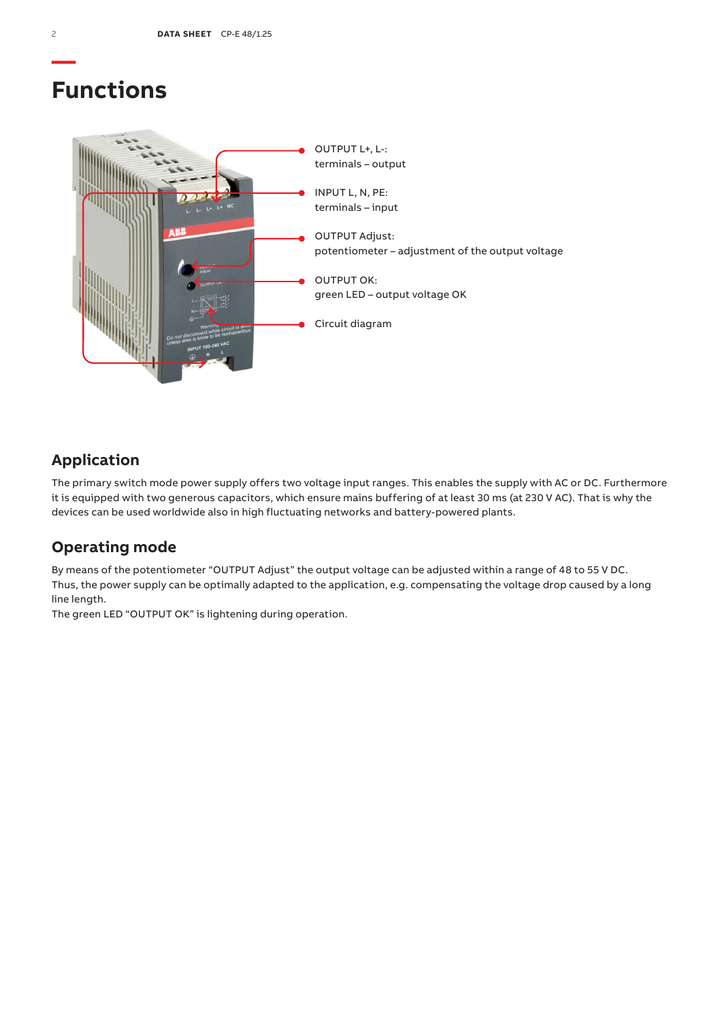## **Functions**



## **Application**

The primary switch mode power supply offers two voltage input ranges. This enables the supply with AC or DC. Furthermore it is equipped with two generous capacitors, which ensure mains buffering of at least 30 ms (at 230 V AC). That is why the devices can be used worldwide also in high fluctuating networks and battery-powered plants.

### **Operating mode**

By means of the potentiometer "OUTPUT Adjust" the output voltage can be adjusted within a range of 48 to 55 V DC. Thus, the power supply can be optimally adapted to the application, e.g. compensating the voltage drop caused by a long line length.

The green LED "OUTPUT OK" is lightening during operation.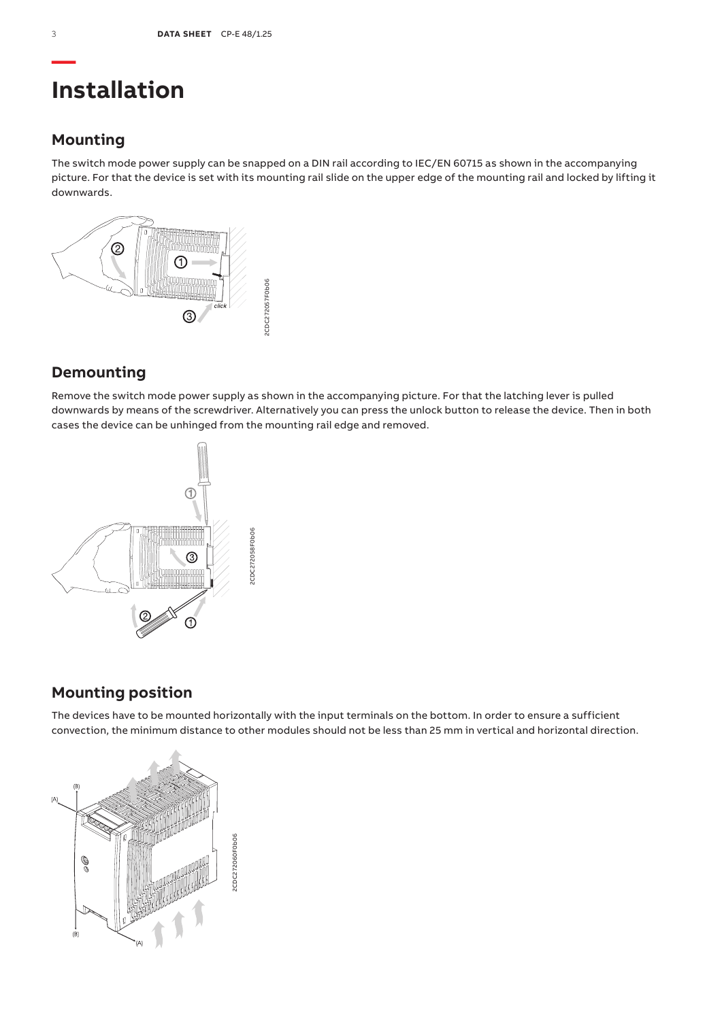## **Installation**

### **Mounting**

The switch mode power supply can be snapped on a DIN rail according to IEC/EN 60715 as shown in the accompanying picture. For that the device is set with its mounting rail slide on the upper edge of the mounting rail and locked by lifting it downwards.



## **Demounting**

Remove the switch mode power supply as shown in the accompanying picture. For that the latching lever is pulled downwards by means of the screwdriver. Alternatively you can press the unlock button to release the device. Then in both cases the device can be unhinged from the mounting rail edge and removed.



## **Mounting position**

The devices have to be mounted horizontally with the input terminals on the bottom. In order to ensure a sufficient convection, the minimum distance to other modules should not be less than 25 mm in vertical and horizontal direction.

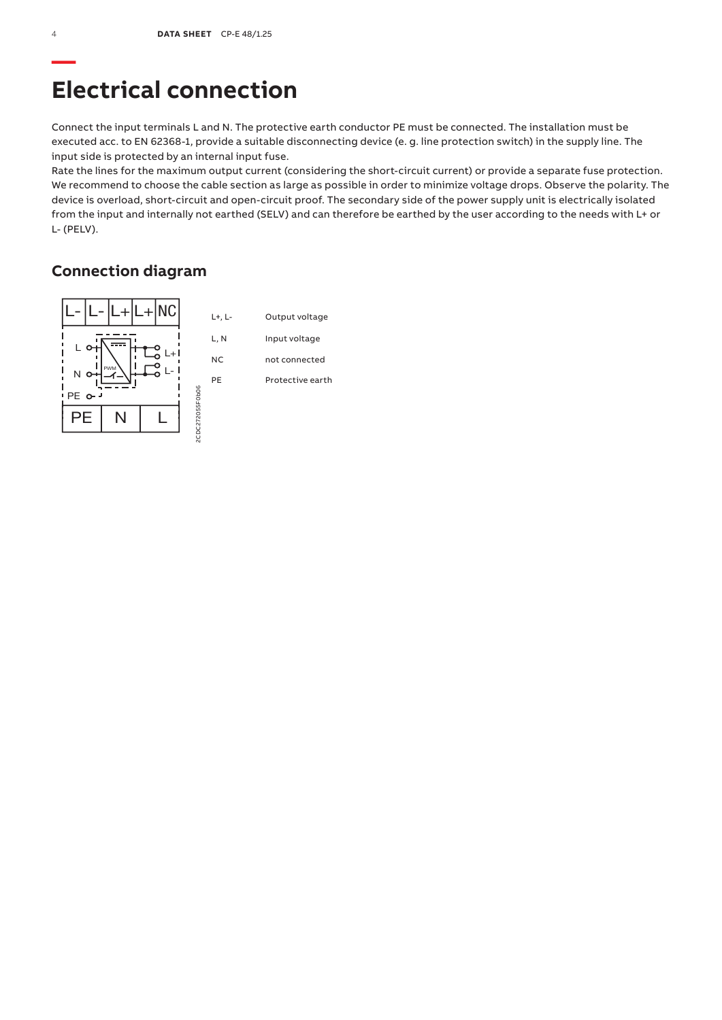## **Electrical connection**

Connect the input terminals L and N. The protective earth conductor PE must be connected. The installation must be executed acc. to EN 62368-1, provide a suitable disconnecting device (e. g. line protection switch) in the supply line. The input side is protected by an internal input fuse.

Rate the lines for the maximum output current (considering the short-circuit current) or provide a separate fuse protection. We recommend to choose the cable section as large as possible in order to minimize voltage drops. Observe the polarity. The device is overload, short-circuit and open-circuit proof. The secondary side of the power supply unit is electrically isolated from the input and internally not earthed (SELV) and can therefore be earthed by the user according to the needs with L+ or L- (PELV).

## **Connection diagram**

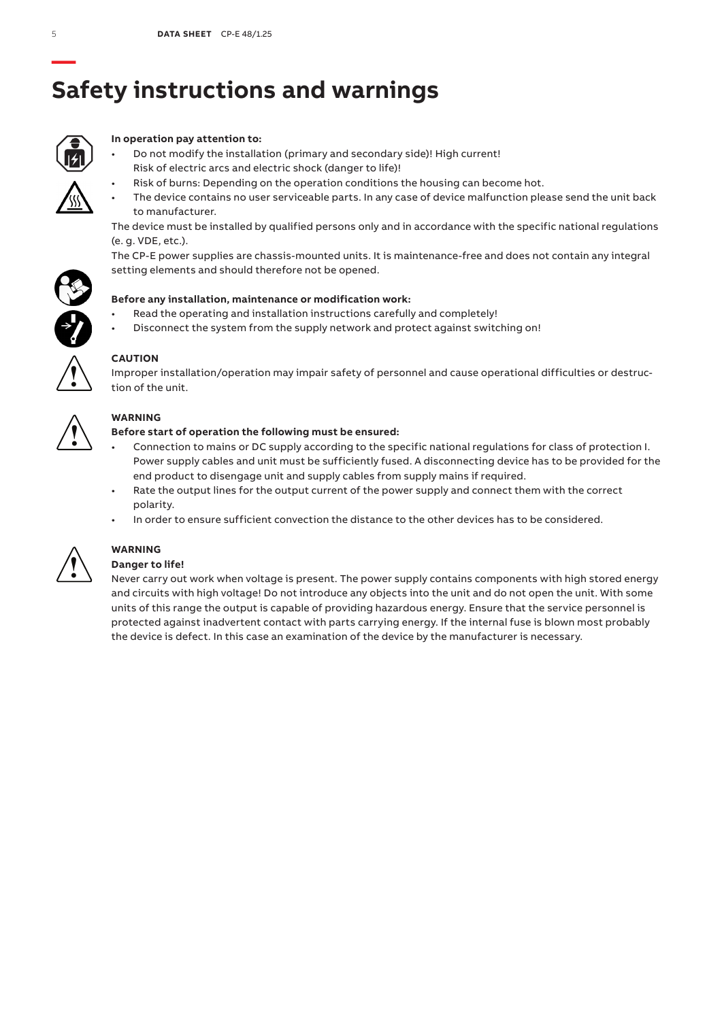# **Safety instructions and warnings**



### **In operation pay attention to:**

- Do not modify the installation (primary and secondary side)! High current! Risk of electric arcs and electric shock (danger to life)!
	- Risk of burns: Depending on the operation conditions the housing can become hot.
- The device contains no user serviceable parts. In any case of device malfunction please send the unit back to manufacturer.

The device must be installed by qualified persons only and in accordance with the specific national regulations (e. g. VDE, etc.).

The CP-E power supplies are chassis-mounted units. It is maintenance-free and does not contain any integral setting elements and should therefore not be opened.



- Read the operating and installation instructions carefully and completely!
- Disconnect the system from the supply network and protect against switching on!



### **CAUTION**

Improper installation/operation may impair safety of personnel and cause operational difficulties or destruction of the unit.



### **WARNING**

### **Before start of operation the following must be ensured:**

- Connection to mains or DC supply according to the specific national regulations for class of protection I. Power supply cables and unit must be sufficiently fused. A disconnecting device has to be provided for the end product to disengage unit and supply cables from supply mains if required.
- Rate the output lines for the output current of the power supply and connect them with the correct polarity.
- In order to ensure sufficient convection the distance to the other devices has to be considered.



## **WARNING**

### **Danger to life!**

Never carry out work when voltage is present. The power supply contains components with high stored energy and circuits with high voltage! Do not introduce any objects into the unit and do not open the unit. With some units of this range the output is capable of providing hazardous energy. Ensure that the service personnel is protected against inadvertent contact with parts carrying energy. If the internal fuse is blown most probably the device is defect. In this case an examination of the device by the manufacturer is necessary.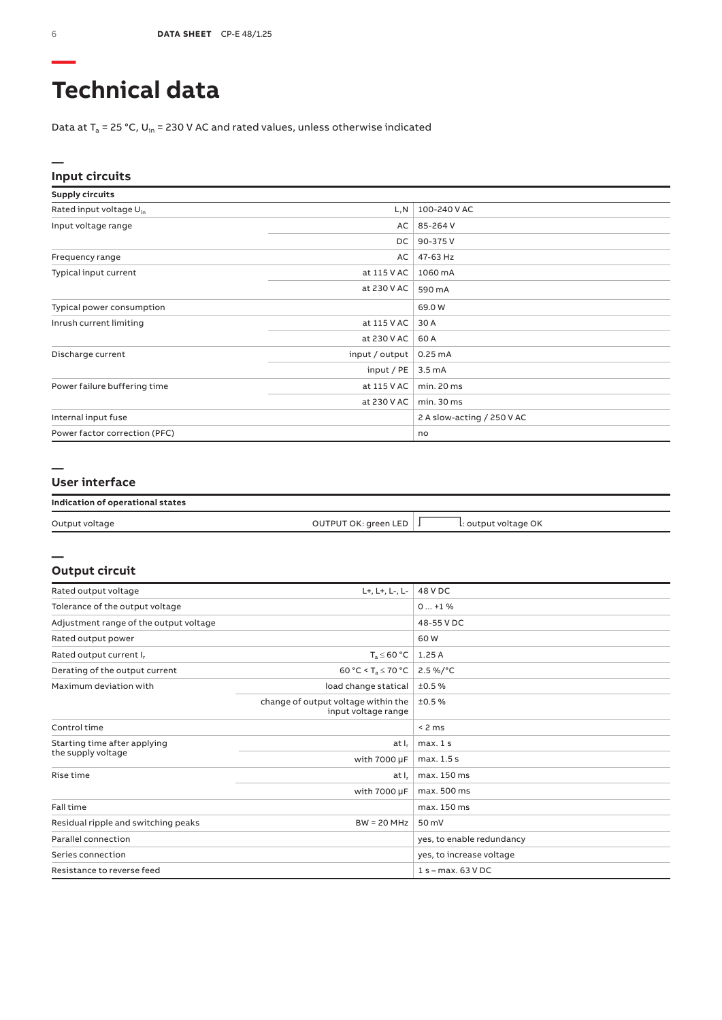## **Technical data**

Data at  $T_a$  = 25 °C, U<sub>in</sub> = 230 V AC and rated values, unless otherwise indicated

#### **— Input circuits**

| <b>Supply circuits</b>              |                |                            |
|-------------------------------------|----------------|----------------------------|
| Rated input voltage U <sub>in</sub> | L,N            | 100-240 V AC               |
| Input voltage range                 | AC             | 85-264 V                   |
|                                     | DC.            | 90-375V                    |
| Frequency range                     | AC             | 47-63 Hz                   |
| Typical input current               | at 115 V AC    | 1060 mA                    |
|                                     | at 230 V AC    | 590 mA                     |
| Typical power consumption           |                | 69.0W                      |
| Inrush current limiting             | at 115 V AC    | 30 A                       |
|                                     | at 230 V AC    | 60 A                       |
| Discharge current                   | input / output | $0.25 \text{ mA}$          |
|                                     | input / PE     | $3.5 \text{ mA}$           |
| Power failure buffering time        | at 115 V AC    | min. 20 ms                 |
|                                     | at 230 V AC    | min. 30 ms                 |
| Internal input fuse                 |                | 2 A slow-acting / 250 V AC |
| Power factor correction (PFC)       |                | no                         |

#### **— User interface**

| Indication of operational states |                      |                      |  |
|----------------------------------|----------------------|----------------------|--|
| Output voltage                   | OUTPUT OK: green LED | L: output voltage OK |  |

### **— Output circuit**

| Rated output voltage                   | L+, L+, L-, L-                                             | 48 V DC                   |
|----------------------------------------|------------------------------------------------------------|---------------------------|
| Tolerance of the output voltage        |                                                            | $0+1$ %                   |
| Adjustment range of the output voltage |                                                            | 48-55 V DC                |
| Rated output power                     |                                                            | 60W                       |
| Rated output current I.                | $T_s \leq 60 °C$                                           | 1.25 A                    |
| Derating of the output current         | 60 °C < $T_a \le 70$ °C                                    | $2.5\%$ /°C               |
| Maximum deviation with                 | load change statical                                       | ±0.5%                     |
|                                        | change of output voltage within the<br>input voltage range | ±0.5%                     |
| Control time                           |                                                            | < 2 ms                    |
| Starting time after applying           | at I.                                                      | max.1s                    |
| the supply voltage                     | with $7000 \mu F$                                          | max. 1.5 s                |
| Rise time                              | at I,                                                      | max. 150 ms               |
|                                        | with 7000 µF                                               | max. 500 ms               |
| Fall time                              |                                                            | max. 150 ms               |
| Residual ripple and switching peaks    | $BW = 20 MHz$                                              | 50 mV                     |
| Parallel connection                    |                                                            | yes, to enable redundancy |
| Series connection                      |                                                            | yes, to increase voltage  |
| Resistance to reverse feed             |                                                            | 1 s - max. 63 V DC        |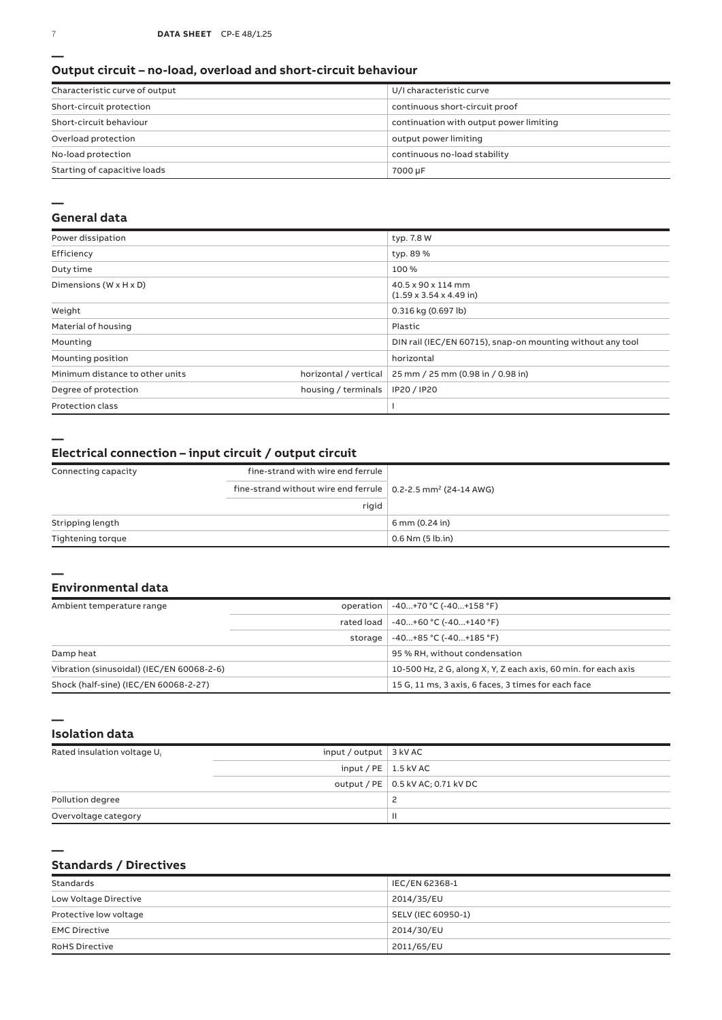#### **Output circuit – no-load, overload and short-circuit behaviour**

| Characteristic curve of output | U/I characteristic curve                |
|--------------------------------|-----------------------------------------|
| Short-circuit protection       | continuous short-circuit proof          |
| Short-circuit behaviour        | continuation with output power limiting |
| Overload protection            | output power limiting                   |
| No-load protection             | continuous no-load stability            |
| Starting of capacitive loads   | 7000 µF                                 |

#### **—**

### **General data**

| Power dissipation                    |                       | typ. 7.8 W                                                 |
|--------------------------------------|-----------------------|------------------------------------------------------------|
| Efficiency                           |                       | typ. 89 %                                                  |
| Duty time                            |                       | 100%                                                       |
| Dimensions ( $W \times H \times D$ ) |                       | 40.5 x 90 x 114 mm<br>$(1.59 \times 3.54 \times 4.49)$ in) |
| Weight                               |                       | 0.316 kg (0.697 lb)                                        |
| Material of housing                  |                       | Plastic                                                    |
| Mounting                             |                       | DIN rail (IEC/EN 60715), snap-on mounting without any tool |
| Mounting position                    |                       | horizontal                                                 |
| Minimum distance to other units      | horizontal / vertical | 25 mm / 25 mm (0.98 in / 0.98 in)                          |
| Degree of protection                 | housing / terminals   | IP20 / IP20                                                |
| <b>Protection class</b>              |                       |                                                            |

**—**

### **Electrical connection – input circuit / output circuit**

| Connecting capacity | fine-strand with wire end ferrule                                                |                      |
|---------------------|----------------------------------------------------------------------------------|----------------------|
|                     | fine-strand without wire end ferrule $\vert$ 0.2-2.5 mm <sup>2</sup> (24-14 AWG) |                      |
|                     | rigid                                                                            |                      |
| Stripping length    |                                                                                  | 6 mm (0.24 in)       |
| Tightening torque   |                                                                                  | $0.6$ Nm $(5$ lb.in) |

#### **— Environmental data**

| Ambient temperature range                 | operation  | $-40+70 °C (-40+158 °F)$                                       |
|-------------------------------------------|------------|----------------------------------------------------------------|
|                                           | rated load | $-40+60 °C (-40+140 °F)$                                       |
|                                           | storage    | $-40+85 °C (-40+185 °F)$                                       |
| Damp heat                                 |            | 95 % RH, without condensation                                  |
| Vibration (sinusoidal) (IEC/EN 60068-2-6) |            | 10-500 Hz, 2 G, along X, Y, Z each axis, 60 min. for each axis |
| Shock (half-sine) (IEC/EN 60068-2-27)     |            | 15 G, 11 ms, 3 axis, 6 faces, 3 times for each face            |

**Isolation data**

**—**

**—**

| Rated insulation voltage U <sub>i</sub> | input / output $\vert$ 3 kV AC |                                     |
|-----------------------------------------|--------------------------------|-------------------------------------|
|                                         | input / $PE$   1.5 kV AC       |                                     |
|                                         |                                | output / PE   0.5 kV AC; 0.71 kV DC |
| Pollution degree                        |                                |                                     |
| Overvoltage category                    |                                | ш                                   |

### **Standards / Directives**

| Standards              | IEC/EN 62368-1     |
|------------------------|--------------------|
| Low Voltage Directive  | 2014/35/EU         |
| Protective low voltage | SELV (IEC 60950-1) |
| <b>EMC Directive</b>   | 2014/30/EU         |
| <b>RoHS Directive</b>  | 2011/65/EU         |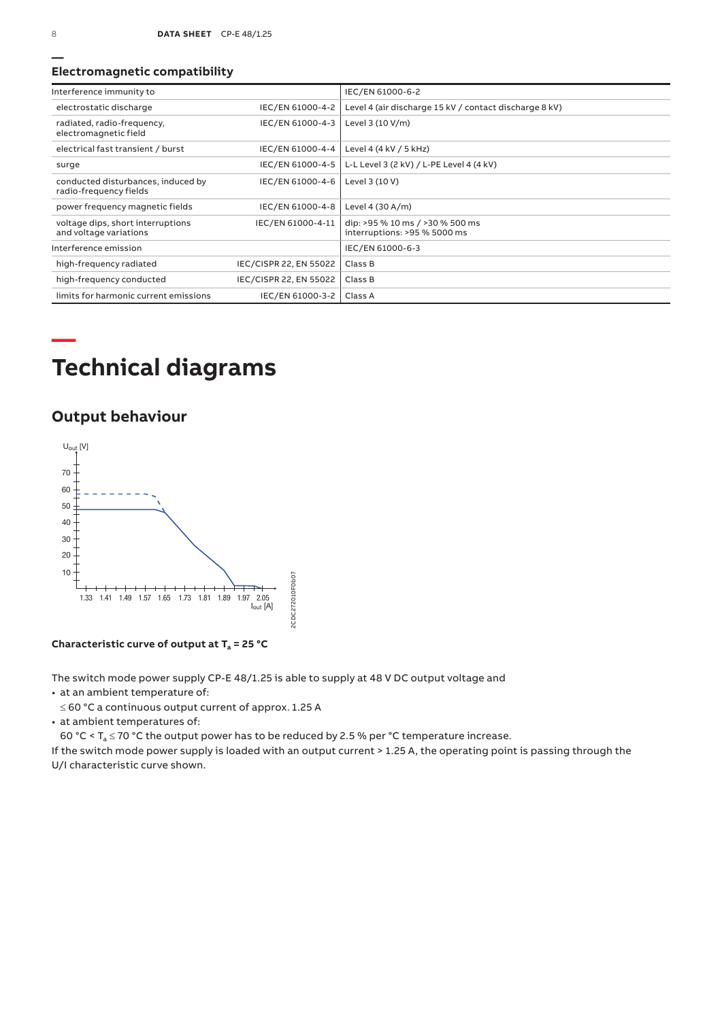### **Electromagnetic compatibility**

| Interference immunity to                                     |                        | IEC/EN 61000-6-2                                                |
|--------------------------------------------------------------|------------------------|-----------------------------------------------------------------|
| electrostatic discharge                                      | IEC/EN 61000-4-2       | Level 4 (air discharge 15 kV / contact discharge 8 kV)          |
| radiated, radio-frequency,<br>electromagnetic field          | IEC/EN 61000-4-3       | Level 3 (10 V/m)                                                |
| electrical fast transient / burst                            | IEC/EN 61000-4-4       | Level 4 (4 kV / 5 kHz)                                          |
| surge                                                        | IEC/EN 61000-4-5       | L-L Level 3 (2 kV) / L-PE Level 4 (4 kV)                        |
| conducted disturbances, induced by<br>radio-frequency fields | IEC/EN 61000-4-6       | Level 3 (10 V)                                                  |
| power frequency magnetic fields                              | IEC/EN 61000-4-8       | Level 4 (30 A/m)                                                |
| voltage dips, short interruptions<br>and voltage variations  | IEC/EN 61000-4-11      | dip: >95 % 10 ms / >30 % 500 ms<br>interruptions: >95 % 5000 ms |
| Interference emission                                        |                        | IEC/EN 61000-6-3                                                |
| high-frequency radiated                                      | IEC/CISPR 22, EN 55022 | Class B                                                         |
| high-frequency conducted                                     | IEC/CISPR 22, EN 55022 | Class B                                                         |
| limits for harmonic current emissions                        | IEC/EN 61000-3-2       | Class A                                                         |

# **Technical diagrams**

### **Output behaviour**



Characteristic curve of output at  $T_a = 25 °C$ 

The switch mode power supply CP‑E 48/1.25 is able to supply at 48 V DC output voltage and

• at an ambient temperature of:

≤ 60 °C a continuous output current of approx. 1.25 A

• at ambient temperatures of:

60 °C <  $T_a \le 70$  °C the output power has to be reduced by 2.5 % per °C temperature increase.

If the switch mode power supply is loaded with an output current > 1.25 A, the operating point is passing through the U/I characteristic curve shown.

**—**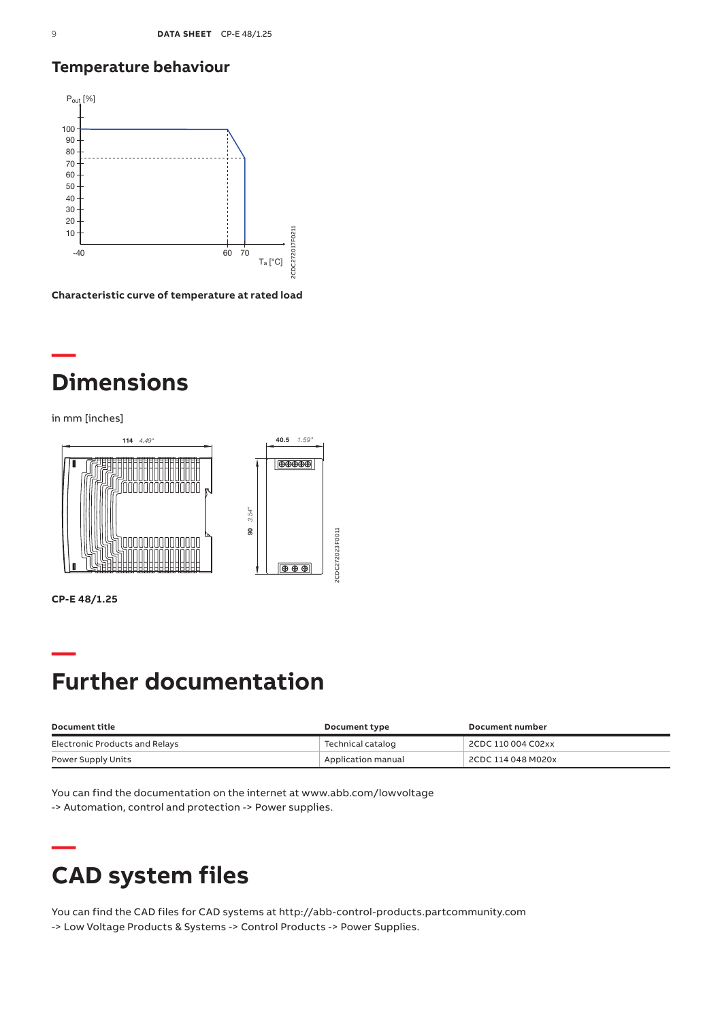### **Temperature behaviour**



**Characteristic curve of temperature at rated load**

## **— Dimensions**

in mm [inches]



**CP-E 48/1.25**

## **— Further documentation**

| Document title                 | Document type      | Document number    |
|--------------------------------|--------------------|--------------------|
| Electronic Products and Relays | Technical catalog  | 2CDC 110 004 C02xx |
| Power Supply Units             | Application manual | 2CDC 114 048 M020x |

You can find the documentation on the internet at www.abb.com/lowvoltage -> Automation, control and protection -> Power supplies.

## **— CAD system files**

You can find the CAD files for CAD systems at http://abb-control-products.partcommunity.com -> Low Voltage Products & Systems -> Control Products -> Power Supplies.